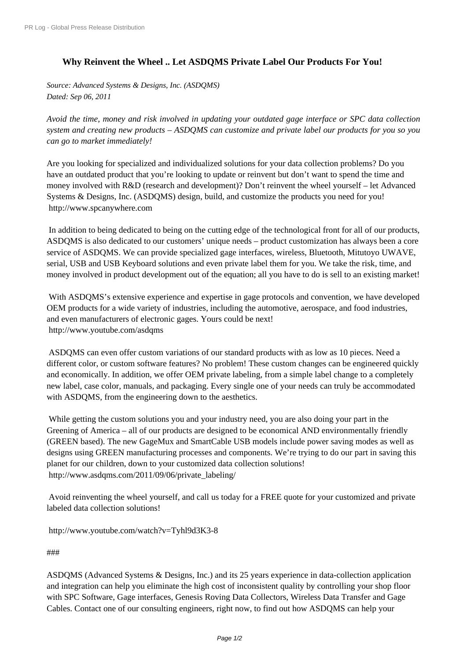## **[Why Reinvent the W](http://www.prlog.org/)heel .. Let ASDQMS Private Label Our Products For You!**

*Source: Advanced Systems & Designs, Inc. (ASDQMS) Dated: Sep 06, 2011*

*Avoid the time, money and risk involved in updating your outdated gage interface or SPC data collection system and creating new products – ASDQMS can customize and private label our products for you so you can go to market immediately!*

Are you looking for specialized and individualized solutions for your data collection problems? Do you have an outdated product that you're looking to update or reinvent but don't want to spend the time and money involved with R&D (research and development)? Don't reinvent the wheel yourself – let Advanced Systems & Designs, Inc. (ASDQMS) design, build, and customize the products you need for you! http://www.spcanywhere.com

 In addition to being dedicated to being on the cutting edge of the technological front for all of our products, ASDQMS is also dedicated to our customers' unique needs – product customization has always been a core [service of ASDQMS. We can p](http://www.prlog.org/11649270.html)rovide specialized gage interfaces, wireless, Bluetooth, Mitutoyo UWAVE, serial, USB and USB Keyboard solutions and even private label them for you. We take the risk, time, and money involved in product development out of the equation; all you have to do is sell to an existing market!

 With ASDQMS's extensive experience and expertise in gage protocols and convention, we have developed OEM products for a wide variety of industries, including the automotive, aerospace, and food industries, and even manufacturers of electronic gages. Yours could be next! http://www.youtube.com/asdqms

 ASDQMS can even offer custom variations of our standard products with as low as 10 pieces. Need a different color, or custom software features? No problem! These custom changes can be engineered quickly [and economically. In addition, we](http://www.prlog.org/11649270.html) offer OEM private labeling, from a simple label change to a completely new label, case color, manuals, and packaging. Every single one of your needs can truly be accommodated with ASDQMS, from the engineering down to the aesthetics.

While getting the custom solutions you and your industry need, you are also doing your part in the Greening of America – all of our products are designed to be economical AND environmentally friendly (GREEN based). The new GageMux and SmartCable USB models include power saving modes as well as designs using GREEN manufacturing processes and components. We're trying to do our part in saving this planet for our children, down to your customized data collection solutions! http://www.asdqms.com/2011/09/06/private\_labeling/

 Avoid reinventing the wheel yourself, and call us today for a FREE quote for your customized and private [labeled data collection solutions!](http://www.prlog.org/11649270.html)

http://www.youtube.com/watch?v=Tyhl9d3K3-8

###

[ASDQMS \(Advanced Systems & Designs, Inc.\) a](http://www.prlog.org/11649270.html)nd its 25 years experience in data-collection application and integration can help you eliminate the high cost of inconsistent quality by controlling your shop floor [with](http://www.prlog.org/11649270.html) SPC Software, Gage interfaces, Genesis Roving Data Collectors, Wireless Data Transfer and Gage [Cables. Co](http://www.prlog.org/11649270.html)ntact one of our consulting engineers, right now, to find out how ASDQMS can help your